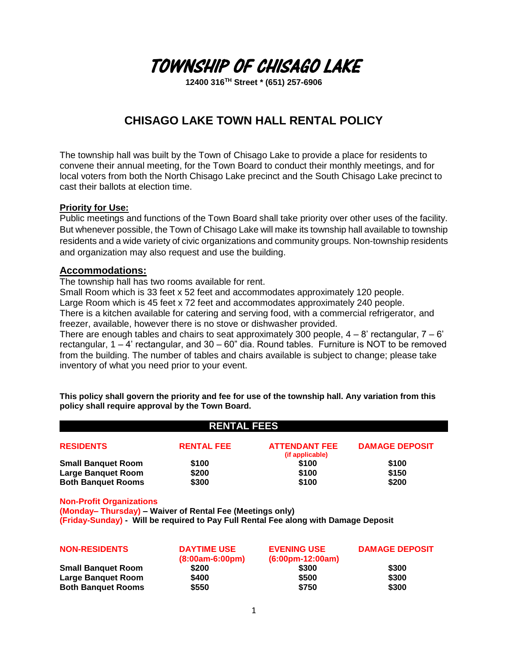TOWNSHIP OF CHISAGO LAKE

**12400 316TH Street \* (651) 257-6906**

# **CHISAGO LAKE TOWN HALL RENTAL POLICY**

The township hall was built by the Town of Chisago Lake to provide a place for residents to convene their annual meeting, for the Town Board to conduct their monthly meetings, and for local voters from both the North Chisago Lake precinct and the South Chisago Lake precinct to cast their ballots at election time.

#### **Priority for Use:**

Public meetings and functions of the Town Board shall take priority over other uses of the facility. But whenever possible, the Town of Chisago Lake will make its township hall available to township residents and a wide variety of civic organizations and community groups. Non-township residents and organization may also request and use the building.

#### **Accommodations:**

The township hall has two rooms available for rent.

Small Room which is 33 feet x 52 feet and accommodates approximately 120 people. Large Room which is 45 feet x 72 feet and accommodates approximately 240 people. There is a kitchen available for catering and serving food, with a commercial refrigerator, and freezer, available, however there is no stove or dishwasher provided.

There are enough tables and chairs to seat approximately 300 people,  $4 - 8$ ' rectangular,  $7 - 6$ ' rectangular,  $1 - 4$ ' rectangular, and  $30 - 60$ " dia. Round tables. Furniture is NOT to be removed from the building. The number of tables and chairs available is subject to change; please take inventory of what you need prior to your event.

**This policy shall govern the priority and fee for use of the township hall. Any variation from this policy shall require approval by the Town Board.** 

**RENTAL FEES**

| RENIAL FEES               |                   |                                         |                       |  |  |
|---------------------------|-------------------|-----------------------------------------|-----------------------|--|--|
| <b>RESIDENTS</b>          | <b>RENTAL FEE</b> | <b>ATTENDANT FEE</b><br>(if applicable) | <b>DAMAGE DEPOSIT</b> |  |  |
| <b>Small Banquet Room</b> | \$100             | \$100                                   | \$100                 |  |  |
| <b>Large Banquet Room</b> | \$200             | \$100                                   | \$150                 |  |  |
| <b>Both Banquet Rooms</b> | \$300             | \$100                                   | \$200                 |  |  |
|                           |                   |                                         |                       |  |  |

#### **Non-Profit Organizations**

**(Monday– Thursday) – Waiver of Rental Fee (Meetings only) (Friday-Sunday) - Will be required to Pay Full Rental Fee along with Damage Deposit** 

| <b>NON-RESIDENTS</b>      | <b>DAYTIME USE</b> | <b>EVENING USE</b><br>$(6:00 \text{pm} - 12:00 \text{am})$ | <b>DAMAGE DEPOSIT</b> |
|---------------------------|--------------------|------------------------------------------------------------|-----------------------|
|                           | $(8:00am-6:00pm)$  |                                                            |                       |
| <b>Small Banquet Room</b> | \$200              | \$300                                                      | \$300                 |
| Large Banquet Room        | \$400              | \$500                                                      | \$300                 |
| <b>Both Banquet Rooms</b> | \$550              | \$750                                                      | \$300                 |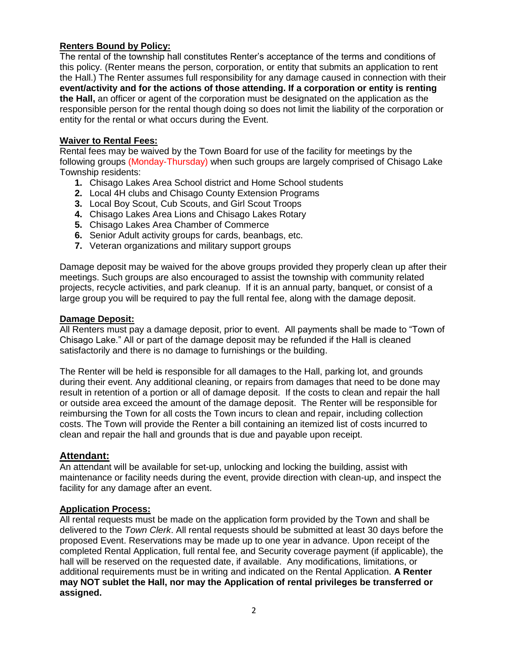# **Renters Bound by Policy:**

The rental of the township hall constitutes Renter's acceptance of the terms and conditions of this policy. (Renter means the person, corporation, or entity that submits an application to rent the Hall.) The Renter assumes full responsibility for any damage caused in connection with their **event/activity and for the actions of those attending. If a corporation or entity is renting the Hall,** an officer or agent of the corporation must be designated on the application as the responsible person for the rental though doing so does not limit the liability of the corporation or entity for the rental or what occurs during the Event.

# **Waiver to Rental Fees:**

Rental fees may be waived by the Town Board for use of the facility for meetings by the following groups (Monday-Thursday) when such groups are largely comprised of Chisago Lake Township residents:

- **1.** Chisago Lakes Area School district and Home School students
- **2.** Local 4H clubs and Chisago County Extension Programs
- **3.** Local Boy Scout, Cub Scouts, and Girl Scout Troops
- **4.** Chisago Lakes Area Lions and Chisago Lakes Rotary
- **5.** Chisago Lakes Area Chamber of Commerce
- **6.** Senior Adult activity groups for cards, beanbags, etc.
- **7.** Veteran organizations and military support groups

Damage deposit may be waived for the above groups provided they properly clean up after their meetings. Such groups are also encouraged to assist the township with community related projects, recycle activities, and park cleanup. If it is an annual party, banquet, or consist of a large group you will be required to pay the full rental fee, along with the damage deposit.

#### **Damage Deposit:**

All Renters must pay a damage deposit, prior to event. All payments shall be made to "Town of Chisago Lake." All or part of the damage deposit may be refunded if the Hall is cleaned satisfactorily and there is no damage to furnishings or the building.

The Renter will be held is responsible for all damages to the Hall, parking lot, and grounds during their event. Any additional cleaning, or repairs from damages that need to be done may result in retention of a portion or all of damage deposit. If the costs to clean and repair the hall or outside area exceed the amount of the damage deposit. The Renter will be responsible for reimbursing the Town for all costs the Town incurs to clean and repair, including collection costs. The Town will provide the Renter a bill containing an itemized list of costs incurred to clean and repair the hall and grounds that is due and payable upon receipt.

# **Attendant:**

An attendant will be available for set-up, unlocking and locking the building, assist with maintenance or facility needs during the event, provide direction with clean-up, and inspect the facility for any damage after an event.

#### **Application Process:**

All rental requests must be made on the application form provided by the Town and shall be delivered to the *Town Clerk*. All rental requests should be submitted at least 30 days before the proposed Event. Reservations may be made up to one year in advance. Upon receipt of the completed Rental Application, full rental fee, and Security coverage payment (if applicable), the hall will be reserved on the requested date, if available. Any modifications, limitations, or additional requirements must be in writing and indicated on the Rental Application. **A Renter may NOT sublet the Hall, nor may the Application of rental privileges be transferred or assigned.**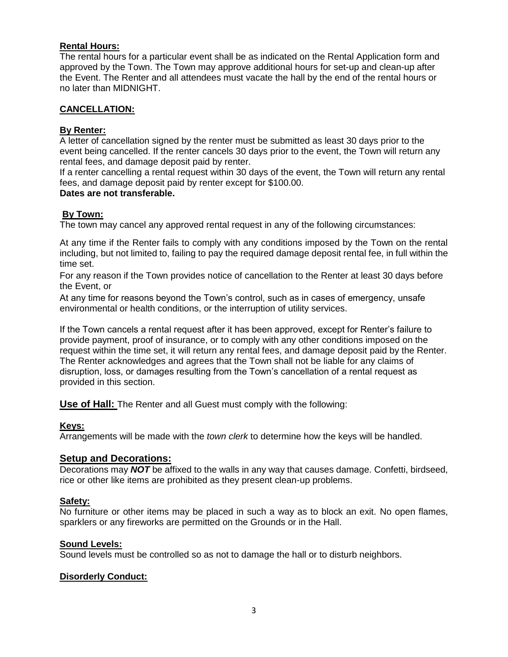# **Rental Hours:**

The rental hours for a particular event shall be as indicated on the Rental Application form and approved by the Town. The Town may approve additional hours for set-up and clean-up after the Event. The Renter and all attendees must vacate the hall by the end of the rental hours or no later than MIDNIGHT.

# **CANCELLATION:**

# **By Renter:**

A letter of cancellation signed by the renter must be submitted as least 30 days prior to the event being cancelled. If the renter cancels 30 days prior to the event, the Town will return any rental fees, and damage deposit paid by renter.

If a renter cancelling a rental request within 30 days of the event, the Town will return any rental fees, and damage deposit paid by renter except for \$100.00.

#### **Dates are not transferable.**

# **By Town:**

The town may cancel any approved rental request in any of the following circumstances:

At any time if the Renter fails to comply with any conditions imposed by the Town on the rental including, but not limited to, failing to pay the required damage deposit rental fee, in full within the time set.

For any reason if the Town provides notice of cancellation to the Renter at least 30 days before the Event, or

At any time for reasons beyond the Town's control, such as in cases of emergency, unsafe environmental or health conditions, or the interruption of utility services.

If the Town cancels a rental request after it has been approved, except for Renter's failure to provide payment, proof of insurance, or to comply with any other conditions imposed on the request within the time set, it will return any rental fees, and damage deposit paid by the Renter. The Renter acknowledges and agrees that the Town shall not be liable for any claims of disruption, loss, or damages resulting from the Town's cancellation of a rental request as provided in this section.

**Use of Hall:** The Renter and all Guest must comply with the following:

# **Keys:**

Arrangements will be made with the *town clerk* to determine how the keys will be handled.

# **Setup and Decorations:**

Decorations may *NOT* be affixed to the walls in any way that causes damage. Confetti, birdseed, rice or other like items are prohibited as they present clean-up problems.

# **Safety:**

No furniture or other items may be placed in such a way as to block an exit. No open flames, sparklers or any fireworks are permitted on the Grounds or in the Hall.

# **Sound Levels:**

Sound levels must be controlled so as not to damage the hall or to disturb neighbors.

# **Disorderly Conduct:**